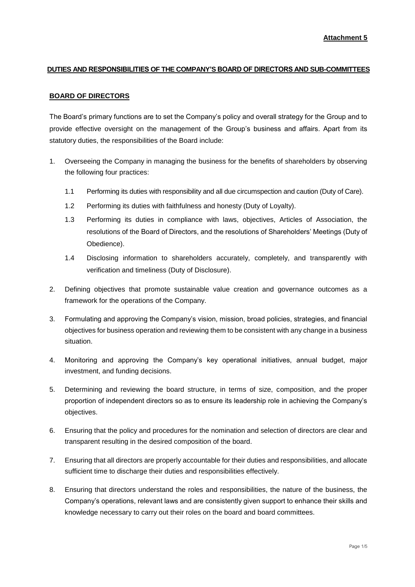## **DUTIES AND RESPONSIBILITIES OF THE COMPANY'S BOARD OF DIRECTORS AND SUB-COMMITTEES**

#### **BOARD OF DIRECTORS**

The Board's primary functions are to set the Company's policy and overall strategy for the Group and to provide effective oversight on the management of the Group's business and affairs. Apart from its statutory duties, the responsibilities of the Board include:

- 1. Overseeing the Company in managing the business for the benefits of shareholders by observing the following four practices:
	- 1.1 Performing its duties with responsibility and all due circumspection and caution (Duty of Care).
	- 1.2 Performing its duties with faithfulness and honesty (Duty of Loyalty).
	- 1.3 Performing its duties in compliance with laws, objectives, Articles of Association, the resolutions of the Board of Directors, and the resolutions of Shareholders' Meetings (Duty of Obedience).
	- 1.4 Disclosing information to shareholders accurately, completely, and transparently with verification and timeliness (Duty of Disclosure).
- 2. Defining objectives that promote sustainable value creation and governance outcomes as a framework for the operations of the Company.
- 3. Formulating and approving the Company's vision, mission, broad policies, strategies, and financial objectives for business operation and reviewing them to be consistent with any change in a business situation.
- 4. Monitoring and approving the Company's key operational initiatives, annual budget, major investment, and funding decisions.
- 5. Determining and reviewing the board structure, in terms of size, composition, and the proper proportion of independent directors so as to ensure its leadership role in achieving the Company's objectives.
- 6. Ensuring that the policy and procedures for the nomination and selection of directors are clear and transparent resulting in the desired composition of the board.
- 7. Ensuring that all directors are properly accountable for their duties and responsibilities, and allocate sufficient time to discharge their duties and responsibilities effectively.
- 8. Ensuring that directors understand the roles and responsibilities, the nature of the business, the Company's operations, relevant laws and are consistently given support to enhance their skills and knowledge necessary to carry out their roles on the board and board committees.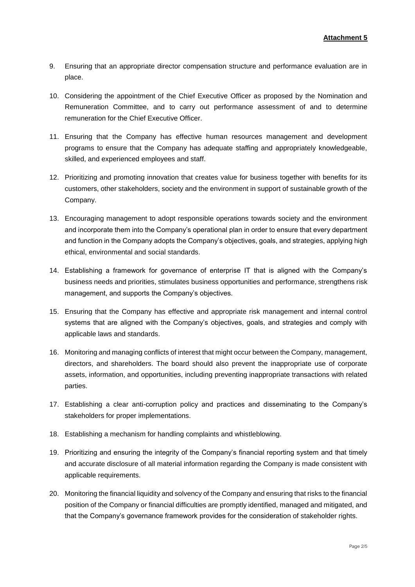- 9. Ensuring that an appropriate director compensation structure and performance evaluation are in place.
- 10. Considering the appointment of the Chief Executive Officer as proposed by the Nomination and Remuneration Committee, and to carry out performance assessment of and to determine remuneration for the Chief Executive Officer.
- 11. Ensuring that the Company has effective human resources management and development programs to ensure that the Company has adequate staffing and appropriately knowledgeable, skilled, and experienced employees and staff.
- 12. Prioritizing and promoting innovation that creates value for business together with benefits for its customers, other stakeholders, society and the environment in support of sustainable growth of the Company.
- 13. Encouraging management to adopt responsible operations towards society and the environment and incorporate them into the Company's operational plan in order to ensure that every department and function in the Company adopts the Company's objectives, goals, and strategies, applying high ethical, environmental and social standards.
- 14. Establishing a framework for governance of enterprise IT that is aligned with the Company's business needs and priorities, stimulates business opportunities and performance, strengthens risk management, and supports the Company's objectives.
- 15. Ensuring that the Company has effective and appropriate risk management and internal control systems that are aligned with the Company's objectives, goals, and strategies and comply with applicable laws and standards.
- 16. Monitoring and managing conflicts of interest that might occur between the Company, management, directors, and shareholders. The board should also prevent the inappropriate use of corporate assets, information, and opportunities, including preventing inappropriate transactions with related parties.
- 17. Establishing a clear anti-corruption policy and practices and disseminating to the Company's stakeholders for proper implementations.
- 18. Establishing a mechanism for handling complaints and whistleblowing.
- 19. Prioritizing and ensuring the integrity of the Company's financial reporting system and that timely and accurate disclosure of all material information regarding the Company is made consistent with applicable requirements.
- 20. Monitoring the financial liquidity and solvency of the Company and ensuring that risks to the financial position of the Company or financial difficulties are promptly identified, managed and mitigated, and that the Company's governance framework provides for the consideration of stakeholder rights.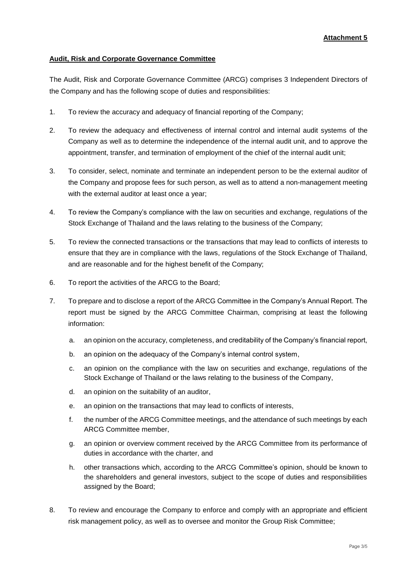# **Attachment 5**

## **Audit, Risk and Corporate Governance Committee**

The Audit, Risk and Corporate Governance Committee (ARCG) comprises 3 Independent Directors of the Company and has the following scope of duties and responsibilities:

- 1. To review the accuracy and adequacy of financial reporting of the Company;
- 2. To review the adequacy and effectiveness of internal control and internal audit systems of the Company as well as to determine the independence of the internal audit unit, and to approve the appointment, transfer, and termination of employment of the chief of the internal audit unit;
- 3. To consider, select, nominate and terminate an independent person to be the external auditor of the Company and propose fees for such person, as well as to attend a non-management meeting with the external auditor at least once a year;
- 4. To review the Company's compliance with the law on securities and exchange, regulations of the Stock Exchange of Thailand and the laws relating to the business of the Company;
- 5. To review the connected transactions or the transactions that may lead to conflicts of interests to ensure that they are in compliance with the laws, regulations of the Stock Exchange of Thailand, and are reasonable and for the highest benefit of the Company;
- 6. To report the activities of the ARCG to the Board;
- 7. To prepare and to disclose a report of the ARCG Committee in the Company's Annual Report. The report must be signed by the ARCG Committee Chairman, comprising at least the following information:
	- a. an opinion on the accuracy, completeness, and creditability of the Company's financial report,
	- b. an opinion on the adequacy of the Company's internal control system,
	- c. an opinion on the compliance with the law on securities and exchange, regulations of the Stock Exchange of Thailand or the laws relating to the business of the Company,
	- d. an opinion on the suitability of an auditor,
	- e. an opinion on the transactions that may lead to conflicts of interests,
	- f. the number of the ARCG Committee meetings, and the attendance of such meetings by each ARCG Committee member,
	- g. an opinion or overview comment received by the ARCG Committee from its performance of duties in accordance with the charter, and
	- h. other transactions which, according to the ARCG Committee's opinion, should be known to the shareholders and general investors, subject to the scope of duties and responsibilities assigned by the Board;
- 8. To review and encourage the Company to enforce and comply with an appropriate and efficient risk management policy, as well as to oversee and monitor the Group Risk Committee;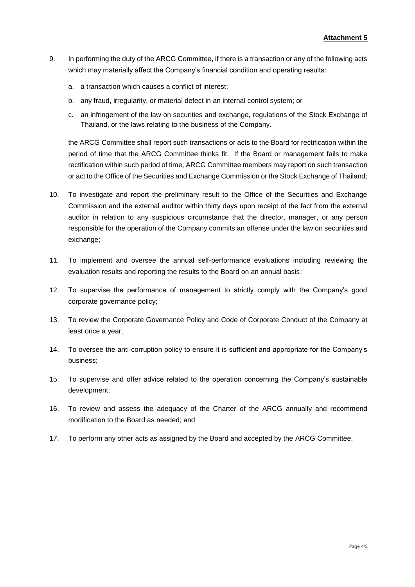- 9. In performing the duty of the ARCG Committee, if there is a transaction or any of the following acts which may materially affect the Company's financial condition and operating results:
	- a. a transaction which causes a conflict of interest;
	- b. any fraud, irregularity, or material defect in an internal control system; or
	- c. an infringement of the law on securities and exchange, regulations of the Stock Exchange of Thailand, or the laws relating to the business of the Company.

the ARCG Committee shall report such transactions or acts to the Board for rectification within the period of time that the ARCG Committee thinks fit. If the Board or management fails to make rectification within such period of time, ARCG Committee members may report on such transaction or act to the Office of the Securities and Exchange Commission or the Stock Exchange of Thailand;

- 10. To investigate and report the preliminary result to the Office of the Securities and Exchange Commission and the external auditor within thirty days upon receipt of the fact from the external auditor in relation to any suspicious circumstance that the director, manager, or any person responsible for the operation of the Company commits an offense under the law on securities and exchange;
- 11. To implement and oversee the annual self-performance evaluations including reviewing the evaluation results and reporting the results to the Board on an annual basis;
- 12. To supervise the performance of management to strictly comply with the Company's good corporate governance policy;
- 13. To review the Corporate Governance Policy and Code of Corporate Conduct of the Company at least once a year;
- 14. To oversee the anti-corruption policy to ensure it is sufficient and appropriate for the Company's business;
- 15. To supervise and offer advice related to the operation concerning the Company's sustainable development;
- 16. To review and assess the adequacy of the Charter of the ARCG annually and recommend modification to the Board as needed; and
- 17. To perform any other acts as assigned by the Board and accepted by the ARCG Committee;